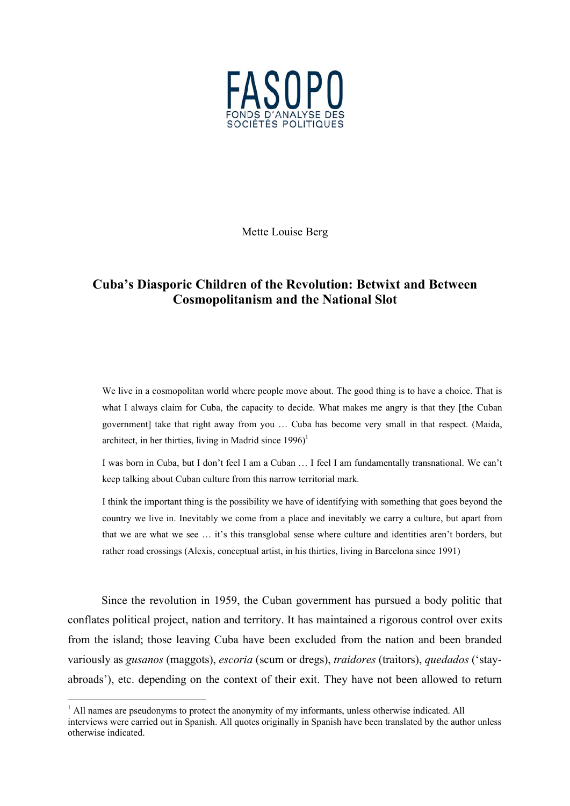

Mette Louise Berg

# **Cuba's Diasporic Children of the Revolution: Betwixt and Between Cosmopolitanism and the National Slot**

We live in a cosmopolitan world where people move about. The good thing is to have a choice. That is what I always claim for Cuba, the capacity to decide. What makes me angry is that they [the Cuban government] take that right away from you … Cuba has become very small in that respect. (Maida, architect, in her thirties, living in Madrid since  $1996$ <sup> $1$ </sup>

I was born in Cuba, but I don't feel I am a Cuban … I feel I am fundamentally transnational. We can't keep talking about Cuban culture from this narrow territorial mark.

I think the important thing is the possibility we have of identifying with something that goes beyond the country we live in. Inevitably we come from a place and inevitably we carry a culture, but apart from that we are what we see … it's this transglobal sense where culture and identities aren't borders, but rather road crossings (Alexis, conceptual artist, in his thirties, living in Barcelona since 1991)

Since the revolution in 1959, the Cuban government has pursued a body politic that conflates political project, nation and territory. It has maintained a rigorous control over exits from the island; those leaving Cuba have been excluded from the nation and been branded variously as *gusanos* (maggots), *escoria* (scum or dregs), *traidores* (traitors), *quedados* ('stayabroads'), etc. depending on the context of their exit. They have not been allowed to return

 $\frac{1}{1}$  $<sup>1</sup>$  All names are pseudonyms to protect the anonymity of my informants, unless otherwise indicated. All</sup> interviews were carried out in Spanish. All quotes originally in Spanish have been translated by the author unless otherwise indicated.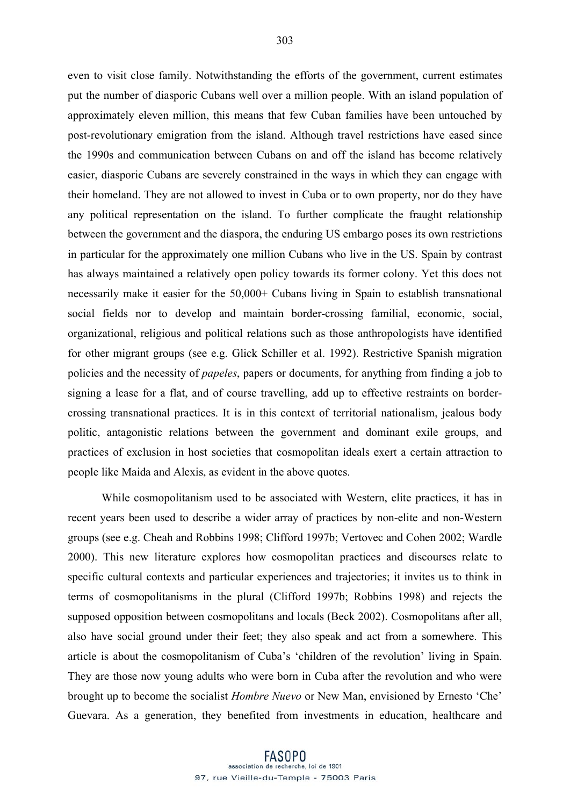even to visit close family. Notwithstanding the efforts of the government, current estimates put the number of diasporic Cubans well over a million people. With an island population of approximately eleven million, this means that few Cuban families have been untouched by post-revolutionary emigration from the island. Although travel restrictions have eased since the 1990s and communication between Cubans on and off the island has become relatively easier, diasporic Cubans are severely constrained in the ways in which they can engage with their homeland. They are not allowed to invest in Cuba or to own property, nor do they have any political representation on the island. To further complicate the fraught relationship between the government and the diaspora, the enduring US embargo poses its own restrictions in particular for the approximately one million Cubans who live in the US. Spain by contrast has always maintained a relatively open policy towards its former colony. Yet this does not necessarily make it easier for the 50,000+ Cubans living in Spain to establish transnational social fields nor to develop and maintain border-crossing familial, economic, social, organizational, religious and political relations such as those anthropologists have identified for other migrant groups (see e.g. Glick Schiller et al. 1992). Restrictive Spanish migration policies and the necessity of *papeles*, papers or documents, for anything from finding a job to signing a lease for a flat, and of course travelling, add up to effective restraints on bordercrossing transnational practices. It is in this context of territorial nationalism, jealous body politic, antagonistic relations between the government and dominant exile groups, and practices of exclusion in host societies that cosmopolitan ideals exert a certain attraction to people like Maida and Alexis, as evident in the above quotes.

While cosmopolitanism used to be associated with Western, elite practices, it has in recent years been used to describe a wider array of practices by non-elite and non-Western groups (see e.g. Cheah and Robbins 1998; Clifford 1997b; Vertovec and Cohen 2002; Wardle 2000). This new literature explores how cosmopolitan practices and discourses relate to specific cultural contexts and particular experiences and trajectories; it invites us to think in terms of cosmopolitanisms in the plural (Clifford 1997b; Robbins 1998) and rejects the supposed opposition between cosmopolitans and locals (Beck 2002). Cosmopolitans after all, also have social ground under their feet; they also speak and act from a somewhere. This article is about the cosmopolitanism of Cuba's 'children of the revolution' living in Spain. They are those now young adults who were born in Cuba after the revolution and who were brought up to become the socialist *Hombre Nuevo* or New Man, envisioned by Ernesto 'Che' Guevara. As a generation, they benefited from investments in education, healthcare and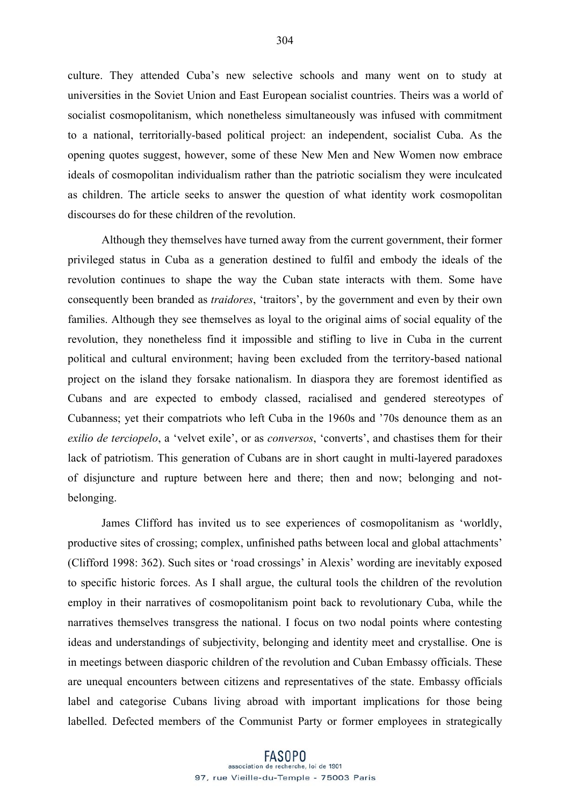culture. They attended Cuba's new selective schools and many went on to study at universities in the Soviet Union and East European socialist countries. Theirs was a world of socialist cosmopolitanism, which nonetheless simultaneously was infused with commitment to a national, territorially-based political project: an independent, socialist Cuba. As the opening quotes suggest, however, some of these New Men and New Women now embrace ideals of cosmopolitan individualism rather than the patriotic socialism they were inculcated as children. The article seeks to answer the question of what identity work cosmopolitan discourses do for these children of the revolution.

Although they themselves have turned away from the current government, their former privileged status in Cuba as a generation destined to fulfil and embody the ideals of the revolution continues to shape the way the Cuban state interacts with them. Some have consequently been branded as *traidores*, 'traitors', by the government and even by their own families. Although they see themselves as loyal to the original aims of social equality of the revolution, they nonetheless find it impossible and stifling to live in Cuba in the current political and cultural environment; having been excluded from the territory-based national project on the island they forsake nationalism. In diaspora they are foremost identified as Cubans and are expected to embody classed, racialised and gendered stereotypes of Cubanness; yet their compatriots who left Cuba in the 1960s and '70s denounce them as an *exilio de terciopelo*, a 'velvet exile', or as *conversos*, 'converts', and chastises them for their lack of patriotism. This generation of Cubans are in short caught in multi-layered paradoxes of disjuncture and rupture between here and there; then and now; belonging and notbelonging.

James Clifford has invited us to see experiences of cosmopolitanism as 'worldly, productive sites of crossing; complex, unfinished paths between local and global attachments' (Clifford 1998: 362). Such sites or 'road crossings' in Alexis' wording are inevitably exposed to specific historic forces. As I shall argue, the cultural tools the children of the revolution employ in their narratives of cosmopolitanism point back to revolutionary Cuba, while the narratives themselves transgress the national. I focus on two nodal points where contesting ideas and understandings of subjectivity, belonging and identity meet and crystallise. One is in meetings between diasporic children of the revolution and Cuban Embassy officials. These are unequal encounters between citizens and representatives of the state. Embassy officials label and categorise Cubans living abroad with important implications for those being labelled. Defected members of the Communist Party or former employees in strategically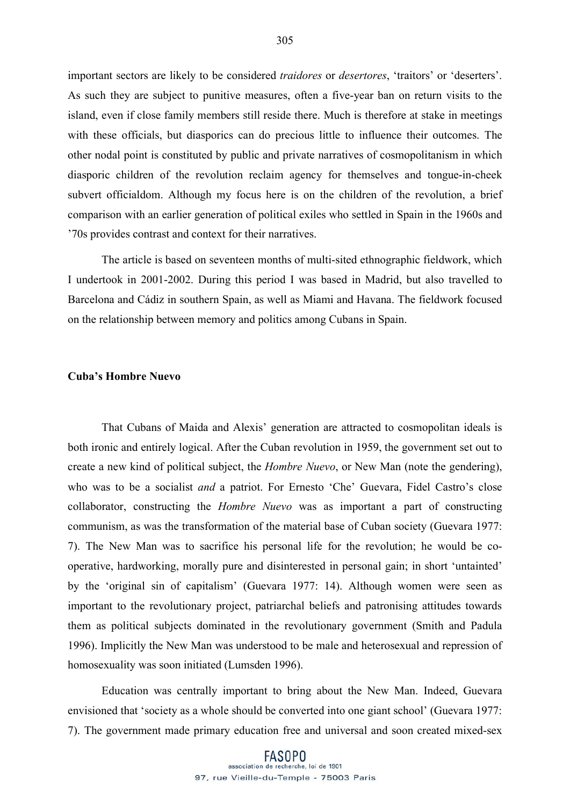important sectors are likely to be considered *traidores* or *desertores*, 'traitors' or 'deserters'. As such they are subject to punitive measures, often a five-year ban on return visits to the island, even if close family members still reside there. Much is therefore at stake in meetings with these officials, but diasporics can do precious little to influence their outcomes. The other nodal point is constituted by public and private narratives of cosmopolitanism in which diasporic children of the revolution reclaim agency for themselves and tongue-in-cheek subvert officialdom. Although my focus here is on the children of the revolution, a brief comparison with an earlier generation of political exiles who settled in Spain in the 1960s and '70s provides contrast and context for their narratives.

The article is based on seventeen months of multi-sited ethnographic fieldwork, which I undertook in 2001-2002. During this period I was based in Madrid, but also travelled to Barcelona and Cádiz in southern Spain, as well as Miami and Havana. The fieldwork focused on the relationship between memory and politics among Cubans in Spain.

### **Cuba's Hombre Nuevo**

That Cubans of Maida and Alexis' generation are attracted to cosmopolitan ideals is both ironic and entirely logical. After the Cuban revolution in 1959, the government set out to create a new kind of political subject, the *Hombre Nuevo*, or New Man (note the gendering), who was to be a socialist *and* a patriot. For Ernesto 'Che' Guevara, Fidel Castro's close collaborator, constructing the *Hombre Nuevo* was as important a part of constructing communism, as was the transformation of the material base of Cuban society (Guevara 1977: 7). The New Man was to sacrifice his personal life for the revolution; he would be cooperative, hardworking, morally pure and disinterested in personal gain; in short 'untainted' by the 'original sin of capitalism' (Guevara 1977: 14). Although women were seen as important to the revolutionary project, patriarchal beliefs and patronising attitudes towards them as political subjects dominated in the revolutionary government (Smith and Padula 1996). Implicitly the New Man was understood to be male and heterosexual and repression of homosexuality was soon initiated (Lumsden 1996).

Education was centrally important to bring about the New Man. Indeed, Guevara envisioned that 'society as a whole should be converted into one giant school' (Guevara 1977: 7). The government made primary education free and universal and soon created mixed-sex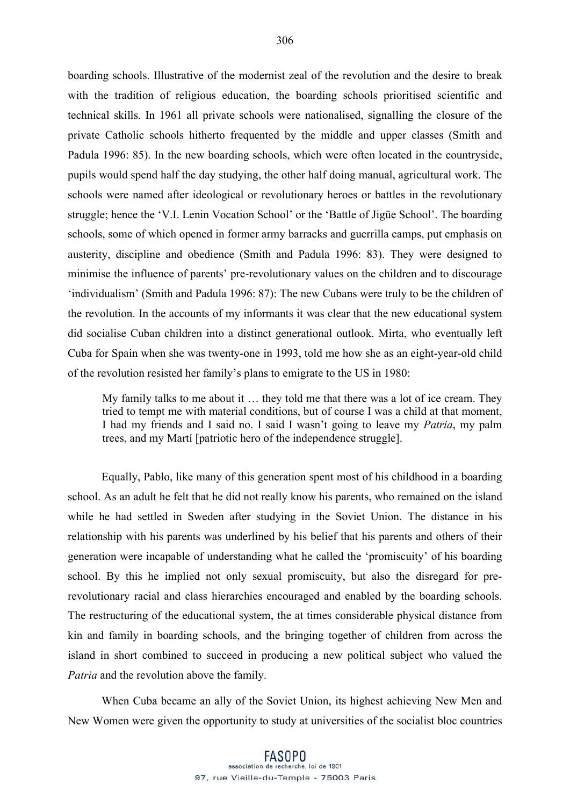boarding schools. Illustrative of the modernist zeal of the revolution and the desire to break with the tradition of religious education, the boarding schools prioritised scientific and technical skills. In 1961 all private schools were nationalised, signalling the closure of the private Catholic schools hitherto frequented by the middle and upper classes (Smith and Padula 1996: 85). In the new boarding schools, which were often located in the countryside, pupils would spend half the day studying, the other half doing manual, agricultural work. The schools were named after ideological or revolutionary heroes or battles in the revolutionary struggle; hence the 'V.I. Lenin Vocation School' or the 'Battle of Jigüe School'. The boarding schools, some of which opened in former army barracks and guerrilla camps, put emphasis on austerity, discipline and obedience (Smith and Padula 1996: 83). They were designed to minimise the influence of parents' pre-revolutionary values on the children and to discourage 'individualism' (Smith and Padula 1996: 87): The new Cubans were truly to be the children of the revolution. In the accounts of my informants it was clear that the new educational system did socialise Cuban children into a distinct generational outlook. Mirta, who eventually left Cuba for Spain when she was twenty-one in 1993, told me how she as an eight-year-old child of the revolution resisted her family's plans to emigrate to the US in 1980:

My family talks to me about it … they told me that there was a lot of ice cream. They tried to tempt me with material conditions, but of course I was a child at that moment, I had my friends and I said no. I said I wasn't going to leave my *Patria*, my palm trees, and my Martí [patriotic hero of the independence struggle].

Equally, Pablo, like many of this generation spent most of his childhood in a boarding school. As an adult he felt that he did not really know his parents, who remained on the island while he had settled in Sweden after studying in the Soviet Union. The distance in his relationship with his parents was underlined by his belief that his parents and others of their generation were incapable of understanding what he called the 'promiscuity' of his boarding school. By this he implied not only sexual promiscuity, but also the disregard for prerevolutionary racial and class hierarchies encouraged and enabled by the boarding schools. The restructuring of the educational system, the at times considerable physical distance from kin and family in boarding schools, and the bringing together of children from across the island in short combined to succeed in producing a new political subject who valued the *Patria* and the revolution above the family.

When Cuba became an ally of the Soviet Union, its highest achieving New Men and New Women were given the opportunity to study at universities of the socialist bloc countries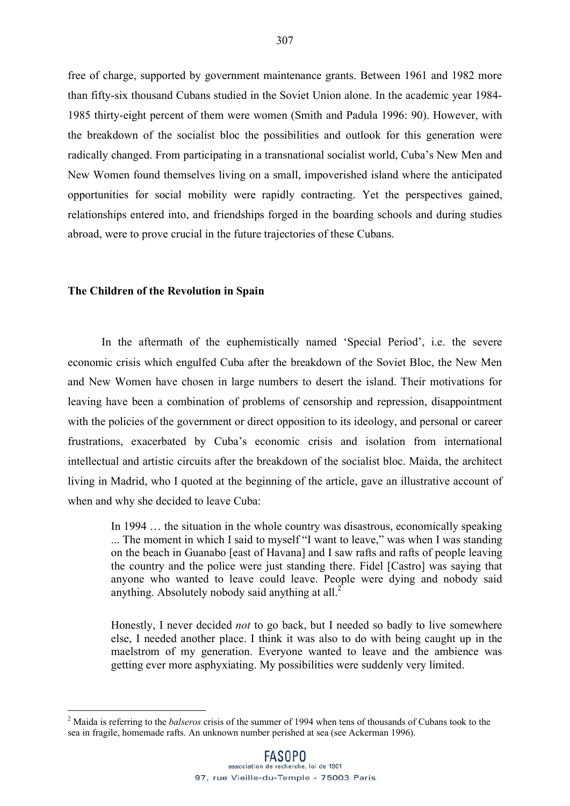free of charge, supported by government maintenance grants. Between 1961 and 1982 more than fifty-six thousand Cubans studied in the Soviet Union alone. In the academic year 1984- 1985 thirty-eight percent of them were women (Smith and Padula 1996: 90). However, with the breakdown of the socialist bloc the possibilities and outlook for this generation were radically changed. From participating in a transnational socialist world, Cuba's New Men and New Women found themselves living on a small, impoverished island where the anticipated opportunities for social mobility were rapidly contracting. Yet the perspectives gained, relationships entered into, and friendships forged in the boarding schools and during studies abroad, were to prove crucial in the future trajectories of these Cubans.

### **The Children of the Revolution in Spain**

In the aftermath of the euphemistically named 'Special Period', i.e. the severe economic crisis which engulfed Cuba after the breakdown of the Soviet Bloc, the New Men and New Women have chosen in large numbers to desert the island. Their motivations for leaving have been a combination of problems of censorship and repression, disappointment with the policies of the government or direct opposition to its ideology, and personal or career frustrations, exacerbated by Cuba's economic crisis and isolation from international intellectual and artistic circuits after the breakdown of the socialist bloc. Maida, the architect living in Madrid, who I quoted at the beginning of the article, gave an illustrative account of when and why she decided to leave Cuba:

In 1994 … the situation in the whole country was disastrous, economically speaking ... The moment in which I said to myself "I want to leave," was when I was standing on the beach in Guanabo [east of Havana] and I saw rafts and rafts of people leaving the country and the police were just standing there. Fidel [Castro] was saying that anyone who wanted to leave could leave. People were dying and nobody said anything. Absolutely nobody said anything at all.<sup>2</sup>

Honestly, I never decided *not* to go back, but I needed so badly to live somewhere else, I needed another place. I think it was also to do with being caught up in the maelstrom of my generation. Everyone wanted to leave and the ambience was getting ever more asphyxiating. My possibilities were suddenly very limited.

 $\frac{1}{2}$  Maida is referring to the *balseros* crisis of the summer of 1994 when tens of thousands of Cubans took to the sea in fragile, homemade rafts. An unknown number perished at sea (see Ackerman 1996).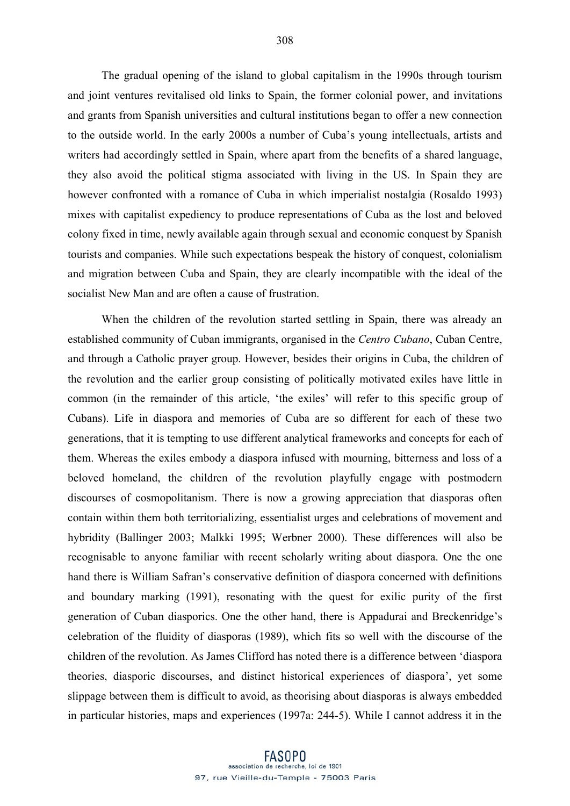The gradual opening of the island to global capitalism in the 1990s through tourism and joint ventures revitalised old links to Spain, the former colonial power, and invitations and grants from Spanish universities and cultural institutions began to offer a new connection to the outside world. In the early 2000s a number of Cuba's young intellectuals, artists and writers had accordingly settled in Spain, where apart from the benefits of a shared language, they also avoid the political stigma associated with living in the US. In Spain they are however confronted with a romance of Cuba in which imperialist nostalgia (Rosaldo 1993) mixes with capitalist expediency to produce representations of Cuba as the lost and beloved colony fixed in time, newly available again through sexual and economic conquest by Spanish tourists and companies. While such expectations bespeak the history of conquest, colonialism and migration between Cuba and Spain, they are clearly incompatible with the ideal of the socialist New Man and are often a cause of frustration.

When the children of the revolution started settling in Spain, there was already an established community of Cuban immigrants, organised in the *Centro Cubano*, Cuban Centre, and through a Catholic prayer group. However, besides their origins in Cuba, the children of the revolution and the earlier group consisting of politically motivated exiles have little in common (in the remainder of this article, 'the exiles' will refer to this specific group of Cubans). Life in diaspora and memories of Cuba are so different for each of these two generations, that it is tempting to use different analytical frameworks and concepts for each of them. Whereas the exiles embody a diaspora infused with mourning, bitterness and loss of a beloved homeland, the children of the revolution playfully engage with postmodern discourses of cosmopolitanism. There is now a growing appreciation that diasporas often contain within them both territorializing, essentialist urges and celebrations of movement and hybridity (Ballinger 2003; Malkki 1995; Werbner 2000). These differences will also be recognisable to anyone familiar with recent scholarly writing about diaspora. One the one hand there is William Safran's conservative definition of diaspora concerned with definitions and boundary marking (1991), resonating with the quest for exilic purity of the first generation of Cuban diasporics. One the other hand, there is Appadurai and Breckenridge's celebration of the fluidity of diasporas (1989), which fits so well with the discourse of the children of the revolution. As James Clifford has noted there is a difference between 'diaspora theories, diasporic discourses, and distinct historical experiences of diaspora', yet some slippage between them is difficult to avoid, as theorising about diasporas is always embedded in particular histories, maps and experiences (1997a: 244-5). While I cannot address it in the

**FASOPO** association de recherche, loi de 1901 97, rue Vieille-du-Temple - 75003 Paris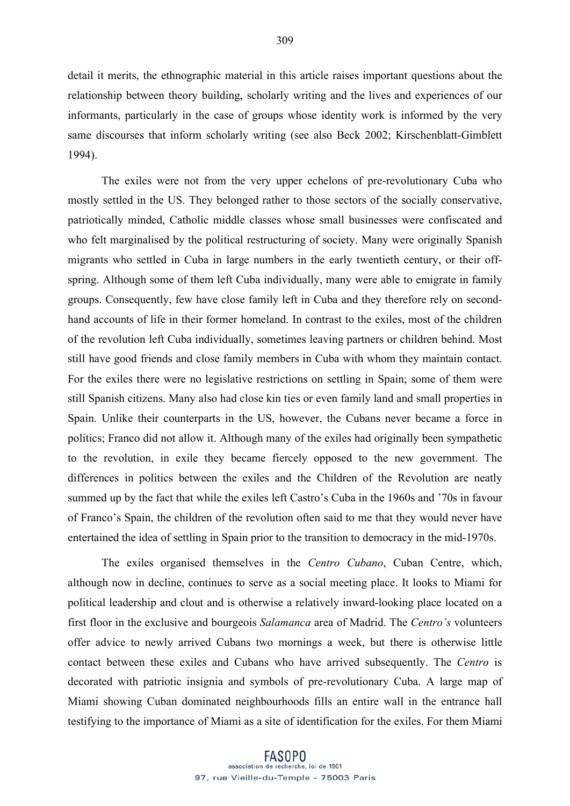detail it merits, the ethnographic material in this article raises important questions about the relationship between theory building, scholarly writing and the lives and experiences of our informants, particularly in the case of groups whose identity work is informed by the very same discourses that inform scholarly writing (see also Beck 2002; Kirschenblatt-Gimblett 1994).

The exiles were not from the very upper echelons of pre-revolutionary Cuba who mostly settled in the US. They belonged rather to those sectors of the socially conservative, patriotically minded, Catholic middle classes whose small businesses were confiscated and who felt marginalised by the political restructuring of society. Many were originally Spanish migrants who settled in Cuba in large numbers in the early twentieth century, or their offspring. Although some of them left Cuba individually, many were able to emigrate in family groups. Consequently, few have close family left in Cuba and they therefore rely on secondhand accounts of life in their former homeland. In contrast to the exiles, most of the children of the revolution left Cuba individually, sometimes leaving partners or children behind. Most still have good friends and close family members in Cuba with whom they maintain contact. For the exiles there were no legislative restrictions on settling in Spain; some of them were still Spanish citizens. Many also had close kin ties or even family land and small properties in Spain. Unlike their counterparts in the US, however, the Cubans never became a force in politics; Franco did not allow it. Although many of the exiles had originally been sympathetic to the revolution, in exile they became fiercely opposed to the new government. The differences in politics between the exiles and the Children of the Revolution are neatly summed up by the fact that while the exiles left Castro's Cuba in the 1960s and '70s in favour of Franco's Spain, the children of the revolution often said to me that they would never have entertained the idea of settling in Spain prior to the transition to democracy in the mid-1970s.

The exiles organised themselves in the *Centro Cubano*, Cuban Centre, which, although now in decline, continues to serve as a social meeting place. It looks to Miami for political leadership and clout and is otherwise a relatively inward-looking place located on a first floor in the exclusive and bourgeois *Salamanca* area of Madrid. The *Centro's* volunteers offer advice to newly arrived Cubans two mornings a week, but there is otherwise little contact between these exiles and Cubans who have arrived subsequently. The *Centro* is decorated with patriotic insignia and symbols of pre-revolutionary Cuba. A large map of Miami showing Cuban dominated neighbourhoods fills an entire wall in the entrance hall testifying to the importance of Miami as a site of identification for the exiles. For them Miami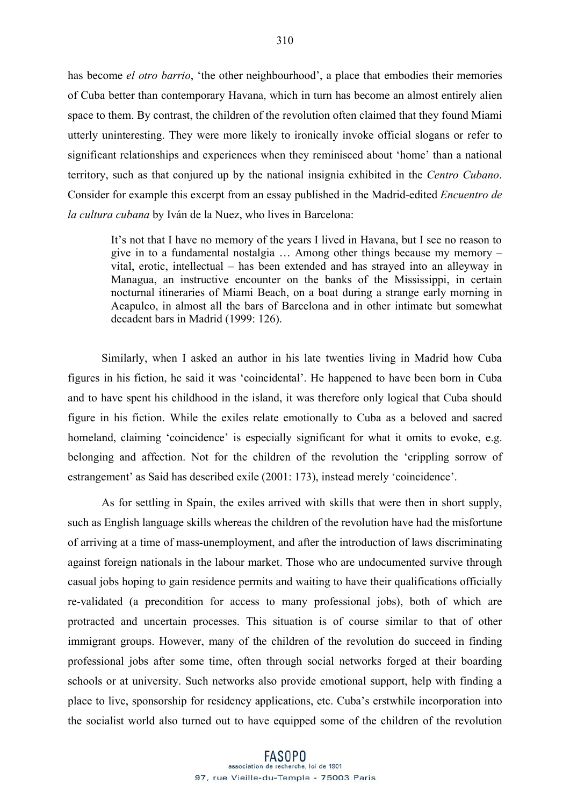has become *el otro barrio*, 'the other neighbourhood', a place that embodies their memories of Cuba better than contemporary Havana, which in turn has become an almost entirely alien space to them. By contrast, the children of the revolution often claimed that they found Miami utterly uninteresting. They were more likely to ironically invoke official slogans or refer to significant relationships and experiences when they reminisced about 'home' than a national territory, such as that conjured up by the national insignia exhibited in the *Centro Cubano*. Consider for example this excerpt from an essay published in the Madrid-edited *Encuentro de la cultura cubana* by Iván de la Nuez, who lives in Barcelona:

It's not that I have no memory of the years I lived in Havana, but I see no reason to give in to a fundamental nostalgia … Among other things because my memory – vital, erotic, intellectual – has been extended and has strayed into an alleyway in Managua, an instructive encounter on the banks of the Mississippi, in certain nocturnal itineraries of Miami Beach, on a boat during a strange early morning in Acapulco, in almost all the bars of Barcelona and in other intimate but somewhat decadent bars in Madrid (1999: 126).

Similarly, when I asked an author in his late twenties living in Madrid how Cuba figures in his fiction, he said it was 'coincidental'. He happened to have been born in Cuba and to have spent his childhood in the island, it was therefore only logical that Cuba should figure in his fiction. While the exiles relate emotionally to Cuba as a beloved and sacred homeland, claiming 'coincidence' is especially significant for what it omits to evoke, e.g. belonging and affection. Not for the children of the revolution the 'crippling sorrow of estrangement' as Said has described exile (2001: 173), instead merely 'coincidence'.

As for settling in Spain, the exiles arrived with skills that were then in short supply, such as English language skills whereas the children of the revolution have had the misfortune of arriving at a time of mass-unemployment, and after the introduction of laws discriminating against foreign nationals in the labour market. Those who are undocumented survive through casual jobs hoping to gain residence permits and waiting to have their qualifications officially re-validated (a precondition for access to many professional jobs), both of which are protracted and uncertain processes. This situation is of course similar to that of other immigrant groups. However, many of the children of the revolution do succeed in finding professional jobs after some time, often through social networks forged at their boarding schools or at university. Such networks also provide emotional support, help with finding a place to live, sponsorship for residency applications, etc. Cuba's erstwhile incorporation into the socialist world also turned out to have equipped some of the children of the revolution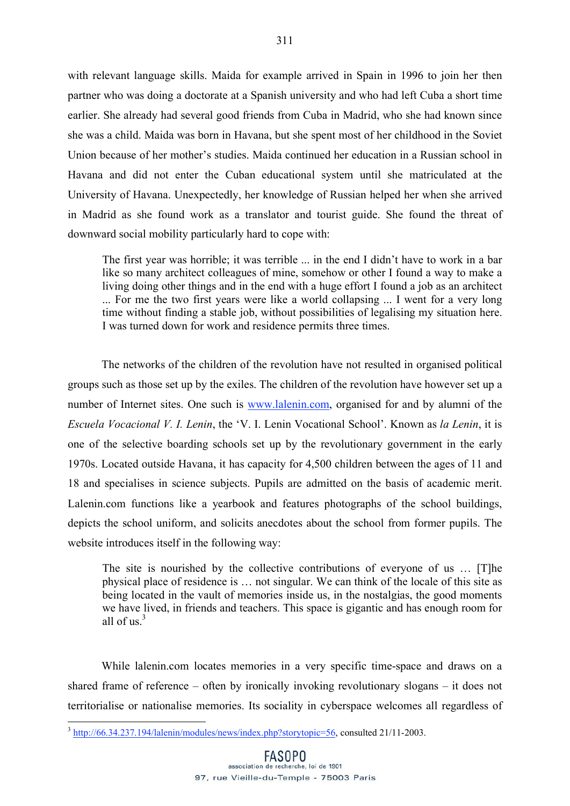with relevant language skills. Maida for example arrived in Spain in 1996 to join her then partner who was doing a doctorate at a Spanish university and who had left Cuba a short time earlier. She already had several good friends from Cuba in Madrid, who she had known since she was a child. Maida was born in Havana, but she spent most of her childhood in the Soviet Union because of her mother's studies. Maida continued her education in a Russian school in Havana and did not enter the Cuban educational system until she matriculated at the University of Havana. Unexpectedly, her knowledge of Russian helped her when she arrived in Madrid as she found work as a translator and tourist guide. She found the threat of downward social mobility particularly hard to cope with:

The first year was horrible; it was terrible ... in the end I didn't have to work in a bar like so many architect colleagues of mine, somehow or other I found a way to make a living doing other things and in the end with a huge effort I found a job as an architect ... For me the two first years were like a world collapsing ... I went for a very long time without finding a stable job, without possibilities of legalising my situation here. I was turned down for work and residence permits three times.

The networks of the children of the revolution have not resulted in organised political groups such as those set up by the exiles. The children of the revolution have however set up a number of Internet sites. One such is www.lalenin.com, organised for and by alumni of the *Escuela Vocacional V. I. Lenin*, the 'V. I. Lenin Vocational School'. Known as *la Lenin*, it is one of the selective boarding schools set up by the revolutionary government in the early 1970s. Located outside Havana, it has capacity for 4,500 children between the ages of 11 and 18 and specialises in science subjects. Pupils are admitted on the basis of academic merit. Lalenin.com functions like a yearbook and features photographs of the school buildings, depicts the school uniform, and solicits anecdotes about the school from former pupils. The website introduces itself in the following way:

The site is nourished by the collective contributions of everyone of us … [T]he physical place of residence is … not singular. We can think of the locale of this site as being located in the vault of memories inside us, in the nostalgias, the good moments we have lived, in friends and teachers. This space is gigantic and has enough room for all of us $^3$ 

While lalenin.com locates memories in a very specific time-space and draws on a shared frame of reference – often by ironically invoking revolutionary slogans – it does not territorialise or nationalise memories. Its sociality in cyberspace welcomes all regardless of

<sup>&</sup>lt;sup>3</sup> http://66.34.237.194/lalenin/modules/news/index.php?storytopic=56, consulted 21/11-2003.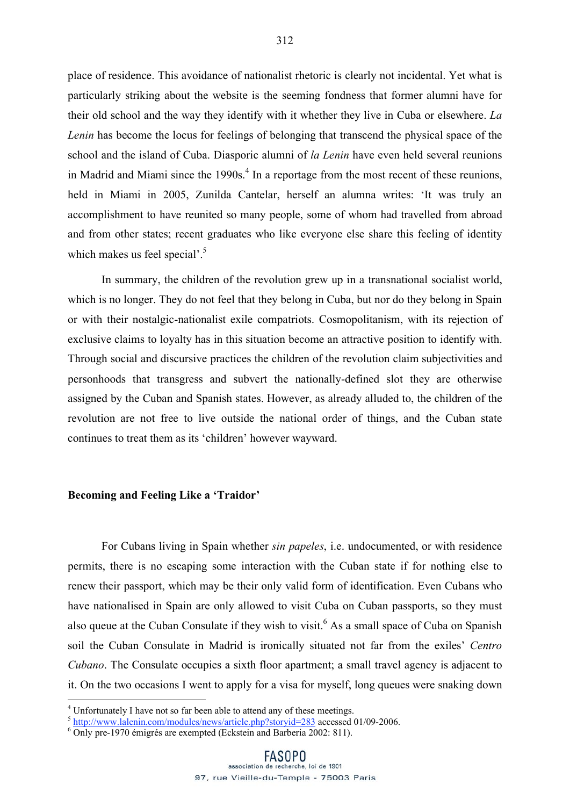place of residence. This avoidance of nationalist rhetoric is clearly not incidental. Yet what is particularly striking about the website is the seeming fondness that former alumni have for their old school and the way they identify with it whether they live in Cuba or elsewhere. *La Lenin* has become the locus for feelings of belonging that transcend the physical space of the school and the island of Cuba. Diasporic alumni of *la Lenin* have even held several reunions in Madrid and Miami since the  $1990s<sup>4</sup>$  In a reportage from the most recent of these reunions, held in Miami in 2005, Zunilda Cantelar, herself an alumna writes: 'It was truly an accomplishment to have reunited so many people, some of whom had travelled from abroad and from other states; recent graduates who like everyone else share this feeling of identity which makes us feel special'.<sup>5</sup>

In summary, the children of the revolution grew up in a transnational socialist world, which is no longer. They do not feel that they belong in Cuba, but nor do they belong in Spain or with their nostalgic-nationalist exile compatriots. Cosmopolitanism, with its rejection of exclusive claims to loyalty has in this situation become an attractive position to identify with. Through social and discursive practices the children of the revolution claim subjectivities and personhoods that transgress and subvert the nationally-defined slot they are otherwise assigned by the Cuban and Spanish states. However, as already alluded to, the children of the revolution are not free to live outside the national order of things, and the Cuban state continues to treat them as its 'children' however wayward.

### **Becoming and Feeling Like a 'Traidor'**

For Cubans living in Spain whether *sin papeles*, i.e. undocumented, or with residence permits, there is no escaping some interaction with the Cuban state if for nothing else to renew their passport, which may be their only valid form of identification. Even Cubans who have nationalised in Spain are only allowed to visit Cuba on Cuban passports, so they must also queue at the Cuban Consulate if they wish to visit.<sup>6</sup> As a small space of Cuba on Spanish soil the Cuban Consulate in Madrid is ironically situated not far from the exiles' *Centro Cubano*. The Consulate occupies a sixth floor apartment; a small travel agency is adjacent to it. On the two occasions I went to apply for a visa for myself, long queues were snaking down

 $\frac{1}{4}$ <sup>4</sup> Unfortunately I have not so far been able to attend any of these meetings.

<sup>&</sup>lt;sup>5</sup> http://www.lalenin.com/modules/news/article.php?storyid=283 accessed 01/09-2006.

Only pre-1970 émigrés are exempted (Eckstein and Barberia 2002: 811).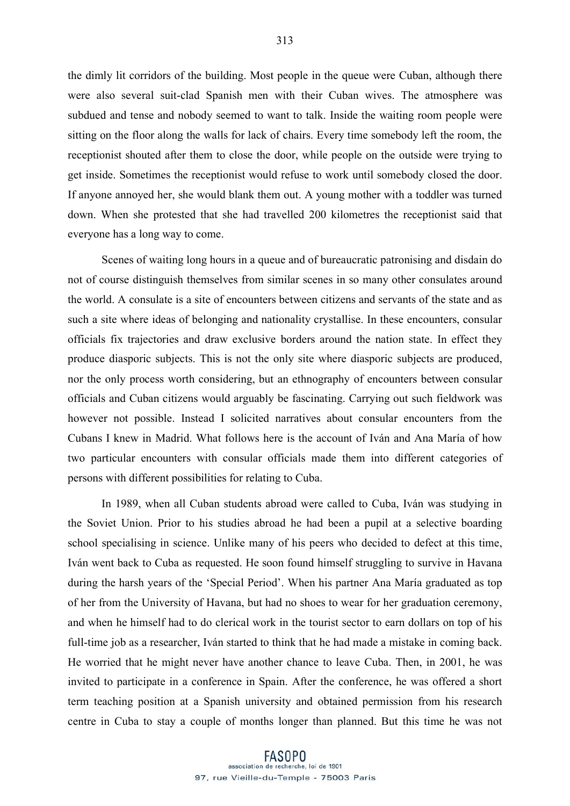the dimly lit corridors of the building. Most people in the queue were Cuban, although there were also several suit-clad Spanish men with their Cuban wives. The atmosphere was subdued and tense and nobody seemed to want to talk. Inside the waiting room people were sitting on the floor along the walls for lack of chairs. Every time somebody left the room, the receptionist shouted after them to close the door, while people on the outside were trying to get inside. Sometimes the receptionist would refuse to work until somebody closed the door. If anyone annoyed her, she would blank them out. A young mother with a toddler was turned down. When she protested that she had travelled 200 kilometres the receptionist said that everyone has a long way to come.

Scenes of waiting long hours in a queue and of bureaucratic patronising and disdain do not of course distinguish themselves from similar scenes in so many other consulates around the world. A consulate is a site of encounters between citizens and servants of the state and as such a site where ideas of belonging and nationality crystallise. In these encounters, consular officials fix trajectories and draw exclusive borders around the nation state. In effect they produce diasporic subjects. This is not the only site where diasporic subjects are produced, nor the only process worth considering, but an ethnography of encounters between consular officials and Cuban citizens would arguably be fascinating. Carrying out such fieldwork was however not possible. Instead I solicited narratives about consular encounters from the Cubans I knew in Madrid. What follows here is the account of Iván and Ana María of how two particular encounters with consular officials made them into different categories of persons with different possibilities for relating to Cuba.

In 1989, when all Cuban students abroad were called to Cuba, Iván was studying in the Soviet Union. Prior to his studies abroad he had been a pupil at a selective boarding school specialising in science. Unlike many of his peers who decided to defect at this time, Iván went back to Cuba as requested. He soon found himself struggling to survive in Havana during the harsh years of the 'Special Period'. When his partner Ana María graduated as top of her from the University of Havana, but had no shoes to wear for her graduation ceremony, and when he himself had to do clerical work in the tourist sector to earn dollars on top of his full-time job as a researcher, Iván started to think that he had made a mistake in coming back. He worried that he might never have another chance to leave Cuba. Then, in 2001, he was invited to participate in a conference in Spain. After the conference, he was offered a short term teaching position at a Spanish university and obtained permission from his research centre in Cuba to stay a couple of months longer than planned. But this time he was not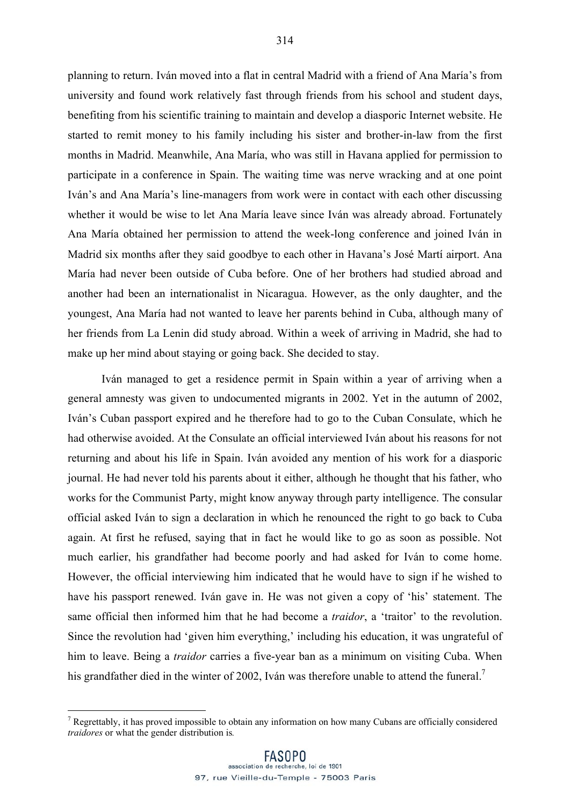planning to return. Iván moved into a flat in central Madrid with a friend of Ana María's from university and found work relatively fast through friends from his school and student days, benefiting from his scientific training to maintain and develop a diasporic Internet website. He started to remit money to his family including his sister and brother-in-law from the first months in Madrid. Meanwhile, Ana María, who was still in Havana applied for permission to participate in a conference in Spain. The waiting time was nerve wracking and at one point Iván's and Ana María's line-managers from work were in contact with each other discussing whether it would be wise to let Ana María leave since Iván was already abroad. Fortunately Ana María obtained her permission to attend the week-long conference and joined Iván in Madrid six months after they said goodbye to each other in Havana's José Martí airport. Ana María had never been outside of Cuba before. One of her brothers had studied abroad and another had been an internationalist in Nicaragua. However, as the only daughter, and the youngest, Ana María had not wanted to leave her parents behind in Cuba, although many of her friends from La Lenin did study abroad. Within a week of arriving in Madrid, she had to

make up her mind about staying or going back. She decided to stay.

Iván managed to get a residence permit in Spain within a year of arriving when a general amnesty was given to undocumented migrants in 2002. Yet in the autumn of 2002, Iván's Cuban passport expired and he therefore had to go to the Cuban Consulate, which he had otherwise avoided. At the Consulate an official interviewed Iván about his reasons for not returning and about his life in Spain. Iván avoided any mention of his work for a diasporic journal. He had never told his parents about it either, although he thought that his father, who works for the Communist Party, might know anyway through party intelligence. The consular official asked Iván to sign a declaration in which he renounced the right to go back to Cuba again. At first he refused, saying that in fact he would like to go as soon as possible. Not much earlier, his grandfather had become poorly and had asked for Iván to come home. However, the official interviewing him indicated that he would have to sign if he wished to have his passport renewed. Iván gave in. He was not given a copy of 'his' statement. The same official then informed him that he had become a *traidor*, a 'traitor' to the revolution. Since the revolution had 'given him everything,' including his education, it was ungrateful of him to leave. Being a *traidor* carries a five-year ban as a minimum on visiting Cuba. When his grandfather died in the winter of 2002, Iván was therefore unable to attend the funeral.<sup>7</sup>

<sup>&</sup>lt;sup>-</sup> <sup>7</sup> Regrettably, it has proved impossible to obtain any information on how many Cubans are officially considered *traidores* or what the gender distribution is*.*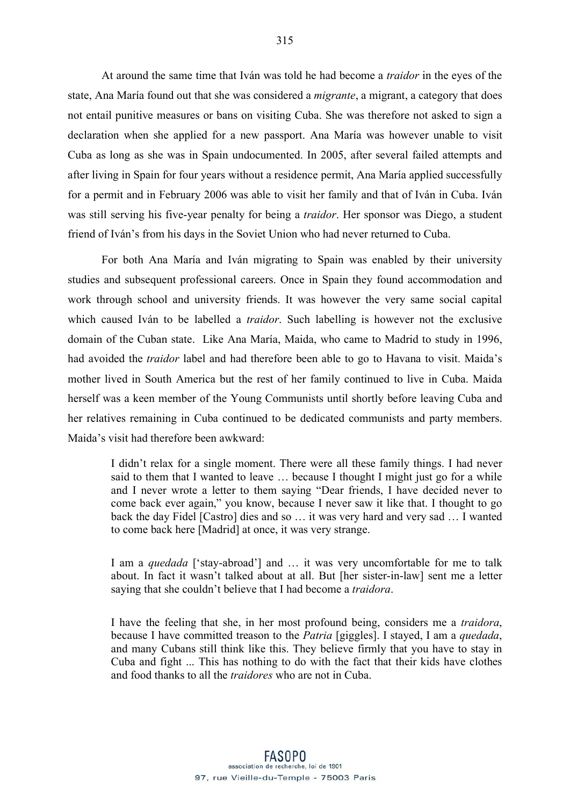At around the same time that Iván was told he had become a *traidor* in the eyes of the state, Ana María found out that she was considered a *migrante*, a migrant, a category that does not entail punitive measures or bans on visiting Cuba. She was therefore not asked to sign a declaration when she applied for a new passport. Ana María was however unable to visit Cuba as long as she was in Spain undocumented. In 2005, after several failed attempts and after living in Spain for four years without a residence permit, Ana María applied successfully for a permit and in February 2006 was able to visit her family and that of Iván in Cuba. Iván was still serving his five-year penalty for being a *traidor*. Her sponsor was Diego, a student friend of Iván's from his days in the Soviet Union who had never returned to Cuba.

For both Ana María and Iván migrating to Spain was enabled by their university studies and subsequent professional careers. Once in Spain they found accommodation and work through school and university friends. It was however the very same social capital which caused Iván to be labelled a *traidor*. Such labelling is however not the exclusive domain of the Cuban state. Like Ana María, Maida, who came to Madrid to study in 1996, had avoided the *traidor* label and had therefore been able to go to Havana to visit. Maida's mother lived in South America but the rest of her family continued to live in Cuba. Maida herself was a keen member of the Young Communists until shortly before leaving Cuba and her relatives remaining in Cuba continued to be dedicated communists and party members. Maida's visit had therefore been awkward:

I didn't relax for a single moment. There were all these family things. I had never said to them that I wanted to leave … because I thought I might just go for a while and I never wrote a letter to them saying "Dear friends, I have decided never to come back ever again," you know, because I never saw it like that. I thought to go back the day Fidel [Castro] dies and so … it was very hard and very sad … I wanted to come back here [Madrid] at once, it was very strange.

I am a *quedada* ['stay-abroad'] and … it was very uncomfortable for me to talk about. In fact it wasn't talked about at all. But [her sister-in-law] sent me a letter saying that she couldn't believe that I had become a *traidora*.

I have the feeling that she, in her most profound being, considers me a *traidora*, because I have committed treason to the *Patria* [giggles]. I stayed, I am a *quedada*, and many Cubans still think like this. They believe firmly that you have to stay in Cuba and fight ... This has nothing to do with the fact that their kids have clothes and food thanks to all the *traidores* who are not in Cuba.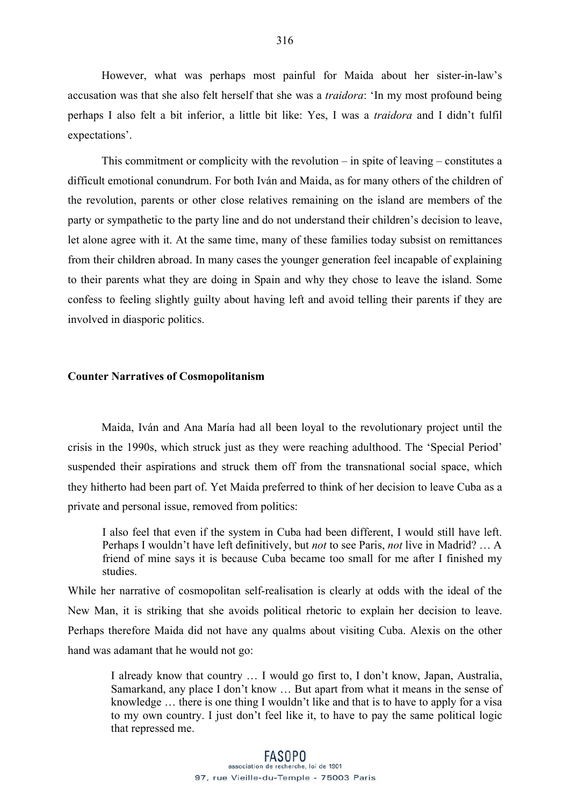However, what was perhaps most painful for Maida about her sister-in-law's accusation was that she also felt herself that she was a *traidora*: 'In my most profound being perhaps I also felt a bit inferior, a little bit like: Yes, I was a *traidora* and I didn't fulfil expectations'.

This commitment or complicity with the revolution – in spite of leaving – constitutes a difficult emotional conundrum. For both Iván and Maida, as for many others of the children of the revolution, parents or other close relatives remaining on the island are members of the party or sympathetic to the party line and do not understand their children's decision to leave, let alone agree with it. At the same time, many of these families today subsist on remittances from their children abroad. In many cases the younger generation feel incapable of explaining to their parents what they are doing in Spain and why they chose to leave the island. Some confess to feeling slightly guilty about having left and avoid telling their parents if they are involved in diasporic politics.

### **Counter Narratives of Cosmopolitanism**

Maida, Iván and Ana María had all been loyal to the revolutionary project until the crisis in the 1990s, which struck just as they were reaching adulthood. The 'Special Period' suspended their aspirations and struck them off from the transnational social space, which they hitherto had been part of. Yet Maida preferred to think of her decision to leave Cuba as a private and personal issue, removed from politics:

I also feel that even if the system in Cuba had been different, I would still have left. Perhaps I wouldn't have left definitively, but *not* to see Paris, *not* live in Madrid? … A friend of mine says it is because Cuba became too small for me after I finished my studies.

While her narrative of cosmopolitan self-realisation is clearly at odds with the ideal of the New Man, it is striking that she avoids political rhetoric to explain her decision to leave. Perhaps therefore Maida did not have any qualms about visiting Cuba. Alexis on the other hand was adamant that he would not go:

I already know that country … I would go first to, I don't know, Japan, Australia, Samarkand, any place I don't know … But apart from what it means in the sense of knowledge … there is one thing I wouldn't like and that is to have to apply for a visa to my own country. I just don't feel like it, to have to pay the same political logic that repressed me.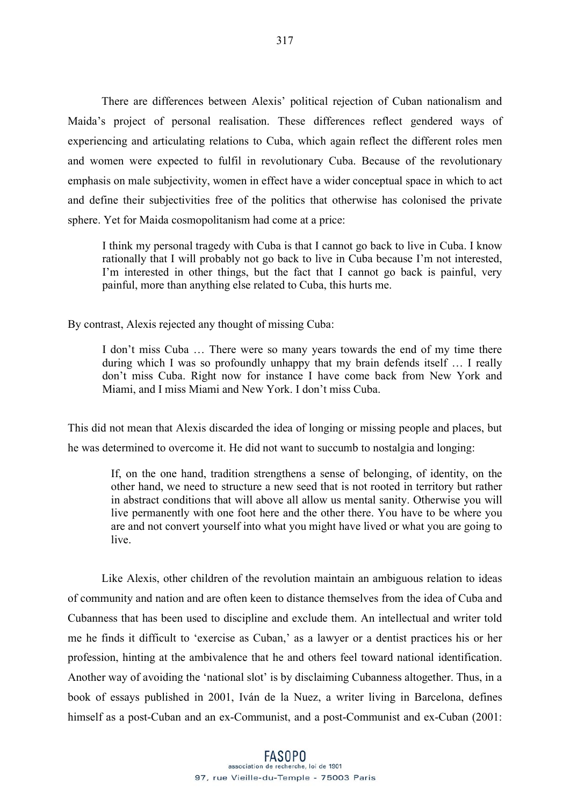There are differences between Alexis' political rejection of Cuban nationalism and Maida's project of personal realisation. These differences reflect gendered ways of experiencing and articulating relations to Cuba, which again reflect the different roles men and women were expected to fulfil in revolutionary Cuba. Because of the revolutionary emphasis on male subjectivity, women in effect have a wider conceptual space in which to act and define their subjectivities free of the politics that otherwise has colonised the private sphere. Yet for Maida cosmopolitanism had come at a price:

I think my personal tragedy with Cuba is that I cannot go back to live in Cuba. I know rationally that I will probably not go back to live in Cuba because I'm not interested, I'm interested in other things, but the fact that I cannot go back is painful, very painful, more than anything else related to Cuba, this hurts me.

By contrast, Alexis rejected any thought of missing Cuba:

I don't miss Cuba … There were so many years towards the end of my time there during which I was so profoundly unhappy that my brain defends itself … I really don't miss Cuba. Right now for instance I have come back from New York and Miami, and I miss Miami and New York. I don't miss Cuba.

This did not mean that Alexis discarded the idea of longing or missing people and places, but he was determined to overcome it. He did not want to succumb to nostalgia and longing:

If, on the one hand, tradition strengthens a sense of belonging, of identity, on the other hand, we need to structure a new seed that is not rooted in territory but rather in abstract conditions that will above all allow us mental sanity. Otherwise you will live permanently with one foot here and the other there. You have to be where you are and not convert yourself into what you might have lived or what you are going to live.

Like Alexis, other children of the revolution maintain an ambiguous relation to ideas of community and nation and are often keen to distance themselves from the idea of Cuba and Cubanness that has been used to discipline and exclude them. An intellectual and writer told me he finds it difficult to 'exercise as Cuban,' as a lawyer or a dentist practices his or her profession, hinting at the ambivalence that he and others feel toward national identification. Another way of avoiding the 'national slot' is by disclaiming Cubanness altogether. Thus, in a book of essays published in 2001, Iván de la Nuez, a writer living in Barcelona, defines himself as a post-Cuban and an ex-Communist, and a post-Communist and ex-Cuban (2001: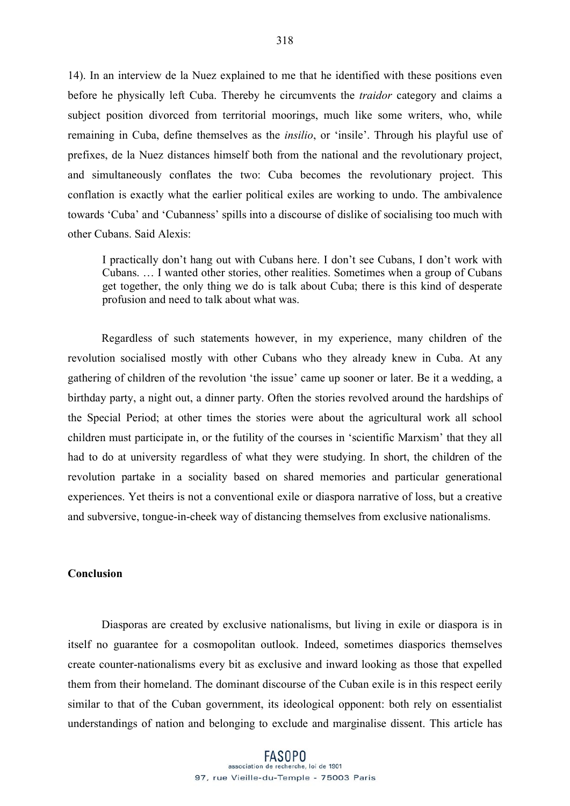14). In an interview de la Nuez explained to me that he identified with these positions even before he physically left Cuba. Thereby he circumvents the *traidor* category and claims a subject position divorced from territorial moorings, much like some writers, who, while remaining in Cuba, define themselves as the *insilio*, or 'insile'. Through his playful use of prefixes, de la Nuez distances himself both from the national and the revolutionary project, and simultaneously conflates the two: Cuba becomes the revolutionary project. This conflation is exactly what the earlier political exiles are working to undo. The ambivalence towards 'Cuba' and 'Cubanness' spills into a discourse of dislike of socialising too much with other Cubans. Said Alexis:

I practically don't hang out with Cubans here. I don't see Cubans, I don't work with Cubans. … I wanted other stories, other realities. Sometimes when a group of Cubans get together, the only thing we do is talk about Cuba; there is this kind of desperate profusion and need to talk about what was.

Regardless of such statements however, in my experience, many children of the revolution socialised mostly with other Cubans who they already knew in Cuba. At any gathering of children of the revolution 'the issue' came up sooner or later. Be it a wedding, a birthday party, a night out, a dinner party. Often the stories revolved around the hardships of the Special Period; at other times the stories were about the agricultural work all school children must participate in, or the futility of the courses in 'scientific Marxism' that they all had to do at university regardless of what they were studying. In short, the children of the revolution partake in a sociality based on shared memories and particular generational experiences. Yet theirs is not a conventional exile or diaspora narrative of loss, but a creative and subversive, tongue-in-cheek way of distancing themselves from exclusive nationalisms.

### **Conclusion**

Diasporas are created by exclusive nationalisms, but living in exile or diaspora is in itself no guarantee for a cosmopolitan outlook. Indeed, sometimes diasporics themselves create counter-nationalisms every bit as exclusive and inward looking as those that expelled them from their homeland. The dominant discourse of the Cuban exile is in this respect eerily similar to that of the Cuban government, its ideological opponent: both rely on essentialist understandings of nation and belonging to exclude and marginalise dissent. This article has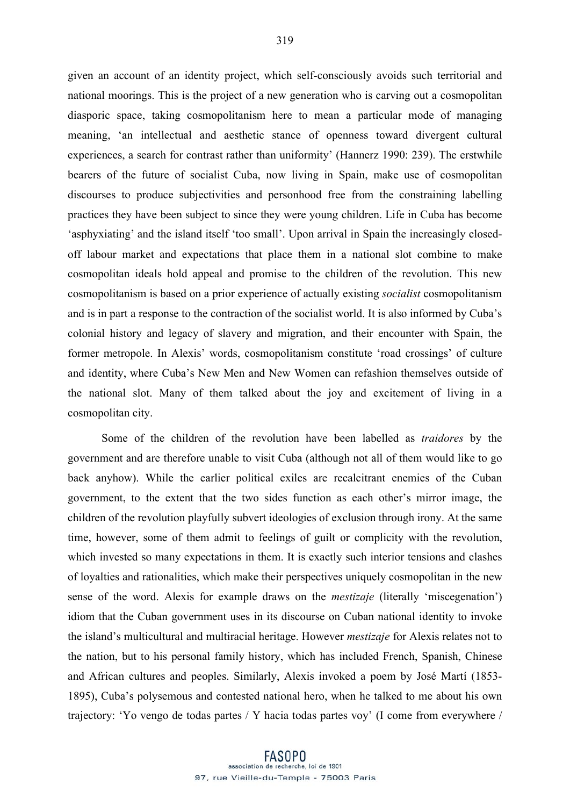given an account of an identity project, which self-consciously avoids such territorial and national moorings. This is the project of a new generation who is carving out a cosmopolitan diasporic space, taking cosmopolitanism here to mean a particular mode of managing meaning, 'an intellectual and aesthetic stance of openness toward divergent cultural experiences, a search for contrast rather than uniformity' (Hannerz 1990: 239). The erstwhile bearers of the future of socialist Cuba, now living in Spain, make use of cosmopolitan discourses to produce subjectivities and personhood free from the constraining labelling practices they have been subject to since they were young children. Life in Cuba has become 'asphyxiating' and the island itself 'too small'. Upon arrival in Spain the increasingly closedoff labour market and expectations that place them in a national slot combine to make cosmopolitan ideals hold appeal and promise to the children of the revolution. This new cosmopolitanism is based on a prior experience of actually existing *socialist* cosmopolitanism and is in part a response to the contraction of the socialist world. It is also informed by Cuba's colonial history and legacy of slavery and migration, and their encounter with Spain, the former metropole. In Alexis' words, cosmopolitanism constitute 'road crossings' of culture and identity, where Cuba's New Men and New Women can refashion themselves outside of the national slot. Many of them talked about the joy and excitement of living in a cosmopolitan city.

Some of the children of the revolution have been labelled as *traidores* by the government and are therefore unable to visit Cuba (although not all of them would like to go back anyhow). While the earlier political exiles are recalcitrant enemies of the Cuban government, to the extent that the two sides function as each other's mirror image, the children of the revolution playfully subvert ideologies of exclusion through irony. At the same time, however, some of them admit to feelings of guilt or complicity with the revolution, which invested so many expectations in them. It is exactly such interior tensions and clashes of loyalties and rationalities, which make their perspectives uniquely cosmopolitan in the new sense of the word. Alexis for example draws on the *mestizaje* (literally 'miscegenation') idiom that the Cuban government uses in its discourse on Cuban national identity to invoke the island's multicultural and multiracial heritage. However *mestizaje* for Alexis relates not to the nation, but to his personal family history, which has included French, Spanish, Chinese and African cultures and peoples. Similarly, Alexis invoked a poem by José Martí (1853- 1895), Cuba's polysemous and contested national hero, when he talked to me about his own trajectory: 'Yo vengo de todas partes / Y hacia todas partes voy' (I come from everywhere /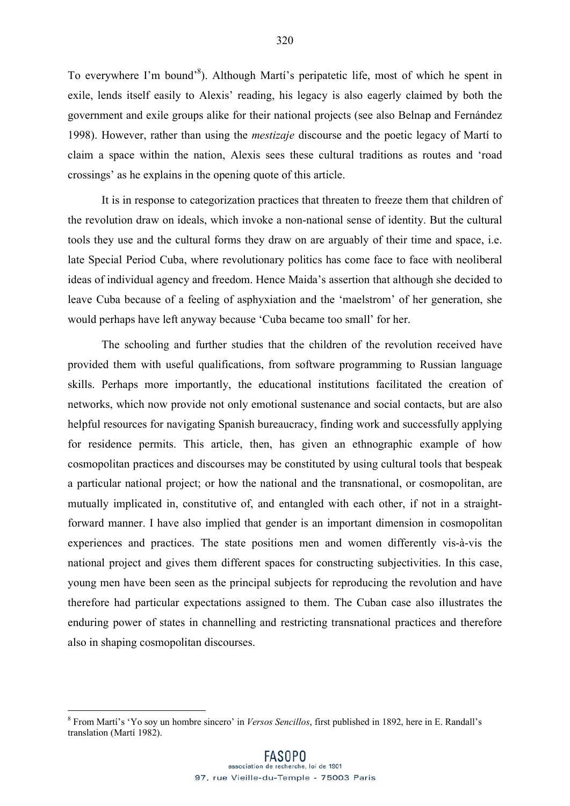To everywhere I'm bound'<sup>8</sup>). Although Martí's peripatetic life, most of which he spent in exile, lends itself easily to Alexis' reading, his legacy is also eagerly claimed by both the government and exile groups alike for their national projects (see also Belnap and Fernández 1998). However, rather than using the *mestizaje* discourse and the poetic legacy of Martí to claim a space within the nation, Alexis sees these cultural traditions as routes and 'road crossings' as he explains in the opening quote of this article.

It is in response to categorization practices that threaten to freeze them that children of the revolution draw on ideals, which invoke a non-national sense of identity. But the cultural tools they use and the cultural forms they draw on are arguably of their time and space, i.e. late Special Period Cuba, where revolutionary politics has come face to face with neoliberal ideas of individual agency and freedom. Hence Maida's assertion that although she decided to leave Cuba because of a feeling of asphyxiation and the 'maelstrom' of her generation, she would perhaps have left anyway because 'Cuba became too small' for her.

The schooling and further studies that the children of the revolution received have provided them with useful qualifications, from software programming to Russian language skills. Perhaps more importantly, the educational institutions facilitated the creation of networks, which now provide not only emotional sustenance and social contacts, but are also helpful resources for navigating Spanish bureaucracy, finding work and successfully applying for residence permits. This article, then, has given an ethnographic example of how cosmopolitan practices and discourses may be constituted by using cultural tools that bespeak a particular national project; or how the national and the transnational, or cosmopolitan, are mutually implicated in, constitutive of, and entangled with each other, if not in a straightforward manner. I have also implied that gender is an important dimension in cosmopolitan experiences and practices. The state positions men and women differently vis-à-vis the national project and gives them different spaces for constructing subjectivities. In this case, young men have been seen as the principal subjects for reproducing the revolution and have therefore had particular expectations assigned to them. The Cuban case also illustrates the enduring power of states in channelling and restricting transnational practices and therefore also in shaping cosmopolitan discourses.

 <sup>8</sup> From Martí's 'Yo soy un hombre sincero' in *Versos Sencillos*, first published in 1892, here in E. Randall's translation (Martí 1982).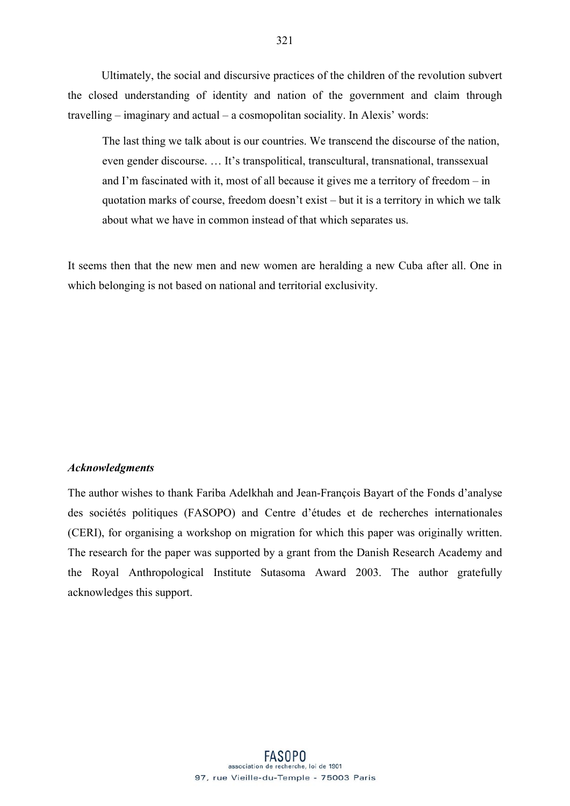Ultimately, the social and discursive practices of the children of the revolution subvert the closed understanding of identity and nation of the government and claim through travelling – imaginary and actual – a cosmopolitan sociality. In Alexis' words:

The last thing we talk about is our countries. We transcend the discourse of the nation, even gender discourse. … It's transpolitical, transcultural, transnational, transsexual and I'm fascinated with it, most of all because it gives me a territory of freedom – in quotation marks of course, freedom doesn't exist – but it is a territory in which we talk about what we have in common instead of that which separates us.

It seems then that the new men and new women are heralding a new Cuba after all. One in which belonging is not based on national and territorial exclusivity.

### *Acknowledgments*

The author wishes to thank Fariba Adelkhah and Jean-François Bayart of the Fonds d'analyse des sociétés politiques (FASOPO) and Centre d'études et de recherches internationales (CERI), for organising a workshop on migration for which this paper was originally written. The research for the paper was supported by a grant from the Danish Research Academy and the Royal Anthropological Institute Sutasoma Award 2003. The author gratefully acknowledges this support.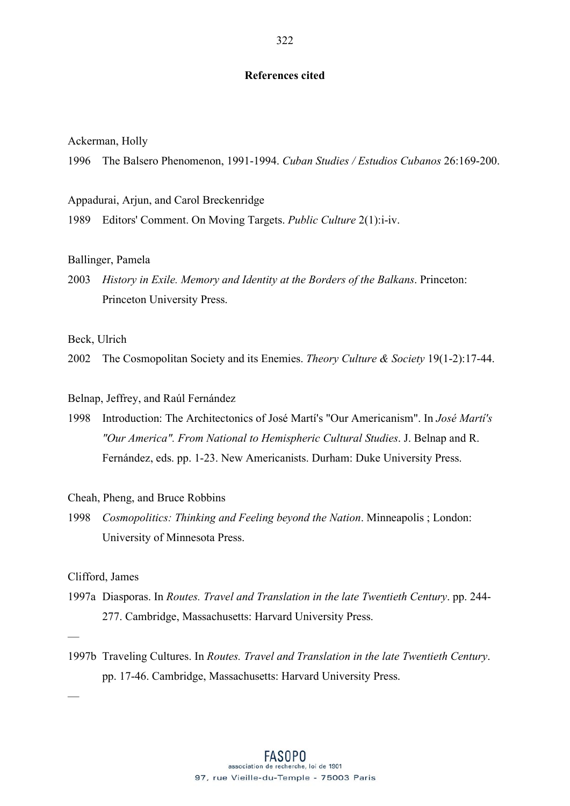### **References cited**

Ackerman, Holly

1996 The Balsero Phenomenon, 1991-1994. *Cuban Studies / Estudios Cubanos* 26:169-200.

Appadurai, Arjun, and Carol Breckenridge

1989 Editors' Comment. On Moving Targets. *Public Culture* 2(1):i-iv.

### Ballinger, Pamela

2003 *History in Exile. Memory and Identity at the Borders of the Balkans*. Princeton: Princeton University Press.

Beck, Ulrich

2002 The Cosmopolitan Society and its Enemies. *Theory Culture & Society* 19(1-2):17-44.

### Belnap, Jeffrey, and Raúl Fernández

1998 Introduction: The Architectonics of José Martí's "Our Americanism". In *José Martí's "Our America". From National to Hemispheric Cultural Studies*. J. Belnap and R. Fernández, eds. pp. 1-23. New Americanists. Durham: Duke University Press.

Cheah, Pheng, and Bruce Robbins

1998 *Cosmopolitics: Thinking and Feeling beyond the Nation*. Minneapolis ; London: University of Minnesota Press.

### Clifford, James

- 1997a Diasporas. In *Routes. Travel and Translation in the late Twentieth Century*. pp. 244- 277. Cambridge, Massachusetts: Harvard University Press.
- —

—

1997b Traveling Cultures. In *Routes. Travel and Translation in the late Twentieth Century*. pp. 17-46. Cambridge, Massachusetts: Harvard University Press.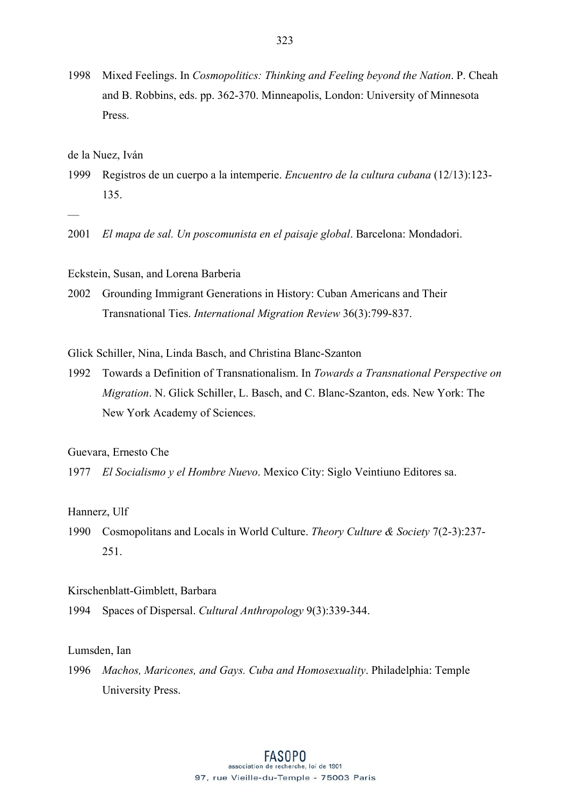1998 Mixed Feelings. In *Cosmopolitics: Thinking and Feeling beyond the Nation*. P. Cheah and B. Robbins, eds. pp. 362-370. Minneapolis, London: University of Minnesota Press.

de la Nuez, Iván

- 1999 Registros de un cuerpo a la intemperie. *Encuentro de la cultura cubana* (12/13):123- 135.
- —
- 2001 *El mapa de sal. Un poscomunista en el paisaje global*. Barcelona: Mondadori.

Eckstein, Susan, and Lorena Barberia

2002 Grounding Immigrant Generations in History: Cuban Americans and Their Transnational Ties. *International Migration Review* 36(3):799-837.

Glick Schiller, Nina, Linda Basch, and Christina Blanc-Szanton

1992 Towards a Definition of Transnationalism. In *Towards a Transnational Perspective on Migration*. N. Glick Schiller, L. Basch, and C. Blanc-Szanton, eds. New York: The New York Academy of Sciences.

Guevara, Ernesto Che

1977 *El Socialismo y el Hombre Nuevo*. Mexico City: Siglo Veintiuno Editores sa.

Hannerz, Ulf

1990 Cosmopolitans and Locals in World Culture. *Theory Culture & Society* 7(2-3):237- 251.

Kirschenblatt-Gimblett, Barbara

1994 Spaces of Dispersal. *Cultural Anthropology* 9(3):339-344.

Lumsden, Ian

1996 *Machos, Maricones, and Gays. Cuba and Homosexuality*. Philadelphia: Temple University Press.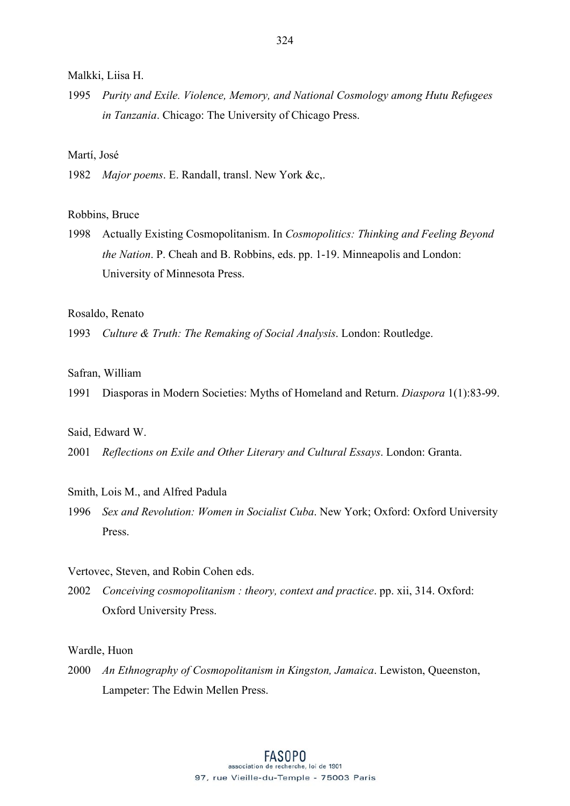1995 *Purity and Exile. Violence, Memory, and National Cosmology among Hutu Refugees in Tanzania*. Chicago: The University of Chicago Press.

### Martí, José

1982 *Major poems*. E. Randall, transl. New York &c,.

#### Robbins, Bruce

1998 Actually Existing Cosmopolitanism. In *Cosmopolitics: Thinking and Feeling Beyond the Nation*. P. Cheah and B. Robbins, eds. pp. 1-19. Minneapolis and London: University of Minnesota Press.

### Rosaldo, Renato

1993 *Culture & Truth: The Remaking of Social Analysis*. London: Routledge.

## Safran, William

1991 Diasporas in Modern Societies: Myths of Homeland and Return. *Diaspora* 1(1):83-99.

#### Said, Edward W.

2001 *Reflections on Exile and Other Literary and Cultural Essays*. London: Granta.

#### Smith, Lois M., and Alfred Padula

1996 *Sex and Revolution: Women in Socialist Cuba*. New York; Oxford: Oxford University Press.

### Vertovec, Steven, and Robin Cohen eds.

2002 *Conceiving cosmopolitanism : theory, context and practice*. pp. xii, 314. Oxford: Oxford University Press.

### Wardle, Huon

2000 *An Ethnography of Cosmopolitanism in Kingston, Jamaica*. Lewiston, Queenston, Lampeter: The Edwin Mellen Press.